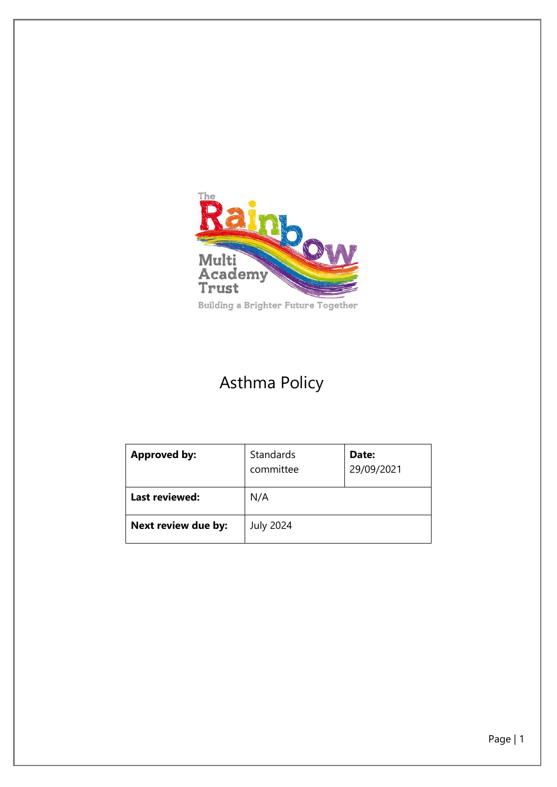

# Asthma Policy

| <b>Approved by:</b> | Standards<br>committee | Date:<br>29/09/2021 |
|---------------------|------------------------|---------------------|
| Last reviewed:      | N/A                    |                     |
| Next review due by: | <b>July 2024</b>       |                     |

Page | 1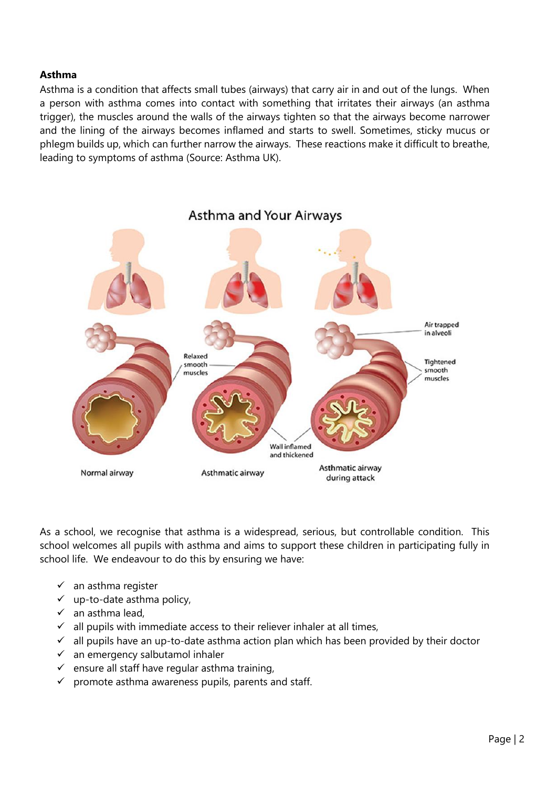#### **Asthma**

Asthma is a condition that affects small tubes (airways) that carry air in and out of the lungs. When a person with asthma comes into contact with something that irritates their airways (an asthma trigger), the muscles around the walls of the airways tighten so that the airways become narrower and the lining of the airways becomes inflamed and starts to swell. Sometimes, sticky mucus or phlegm builds up, which can further narrow the airways. These reactions make it difficult to breathe, leading to symptoms of asthma (Source: Asthma UK).



As a school, we recognise that asthma is a widespread, serious, but controllable condition. This school welcomes all pupils with asthma and aims to support these children in participating fully in school life. We endeavour to do this by ensuring we have:

- an asthma register
- $\checkmark$  up-to-date asthma policy,
- $\checkmark$  an asthma lead,
- $\checkmark$  all pupils with immediate access to their reliever inhaler at all times,
- $\checkmark$  all pupils have an up-to-date asthma action plan which has been provided by their doctor
- $\checkmark$  an emergency salbutamol inhaler
- $\checkmark$  ensure all staff have regular asthma training,
- $\checkmark$  promote asthma awareness pupils, parents and staff.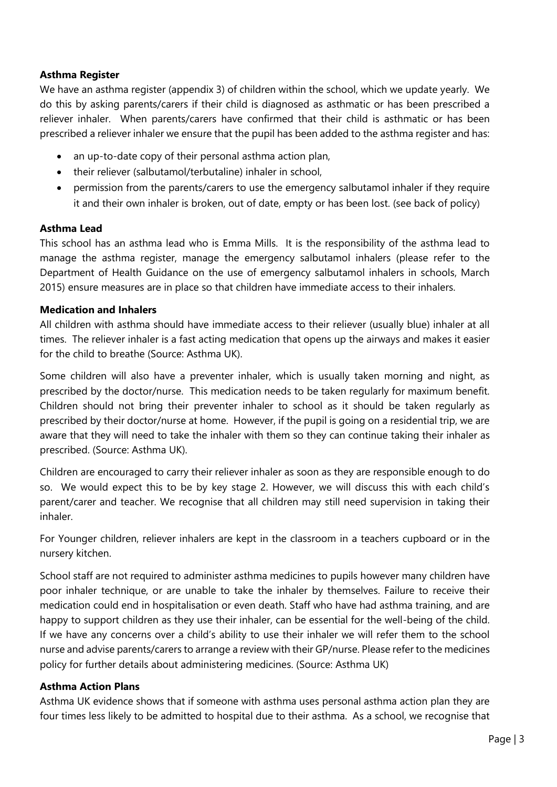## **Asthma Register**

We have an asthma register (appendix 3) of children within the school, which we update yearly. We do this by asking parents/carers if their child is diagnosed as asthmatic or has been prescribed a reliever inhaler. When parents/carers have confirmed that their child is asthmatic or has been prescribed a reliever inhaler we ensure that the pupil has been added to the asthma register and has:

- an up-to-date copy of their personal asthma action plan,
- their reliever (salbutamol/terbutaline) inhaler in school,
- permission from the parents/carers to use the emergency salbutamol inhaler if they require it and their own inhaler is broken, out of date, empty or has been lost. (see back of policy)

### **Asthma Lead**

This school has an asthma lead who is Emma Mills. It is the responsibility of the asthma lead to manage the asthma register, manage the emergency salbutamol inhalers (please refer to the Department of Health Guidance on the use of emergency salbutamol inhalers in schools, March 2015) ensure measures are in place so that children have immediate access to their inhalers.

### **Medication and Inhalers**

All children with asthma should have immediate access to their reliever (usually blue) inhaler at all times. The reliever inhaler is a fast acting medication that opens up the airways and makes it easier for the child to breathe (Source: Asthma UK).

Some children will also have a preventer inhaler, which is usually taken morning and night, as prescribed by the doctor/nurse. This medication needs to be taken regularly for maximum benefit. Children should not bring their preventer inhaler to school as it should be taken regularly as prescribed by their doctor/nurse at home. However, if the pupil is going on a residential trip, we are aware that they will need to take the inhaler with them so they can continue taking their inhaler as prescribed. (Source: Asthma UK).

Children are encouraged to carry their reliever inhaler as soon as they are responsible enough to do so. We would expect this to be by key stage 2. However, we will discuss this with each child's parent/carer and teacher. We recognise that all children may still need supervision in taking their inhaler.

For Younger children, reliever inhalers are kept in the classroom in a teachers cupboard or in the nursery kitchen.

School staff are not required to administer asthma medicines to pupils however many children have poor inhaler technique, or are unable to take the inhaler by themselves. Failure to receive their medication could end in hospitalisation or even death. Staff who have had asthma training, and are happy to support children as they use their inhaler, can be essential for the well-being of the child. If we have any concerns over a child's ability to use their inhaler we will refer them to the school nurse and advise parents/carers to arrange a review with their GP/nurse. Please refer to the medicines policy for further details about administering medicines. (Source: Asthma UK)

### **Asthma Action Plans**

Asthma UK evidence shows that if someone with asthma uses personal asthma action plan they are four times less likely to be admitted to hospital due to their asthma. As a school, we recognise that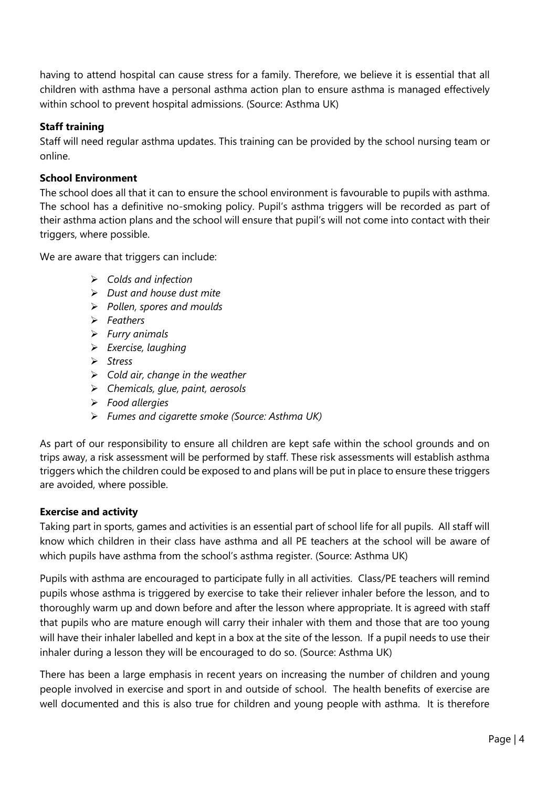having to attend hospital can cause stress for a family. Therefore, we believe it is essential that all children with asthma have a personal asthma action plan to ensure asthma is managed effectively within school to prevent hospital admissions. (Source: Asthma UK)

# **Staff training**

Staff will need regular asthma updates. This training can be provided by the school nursing team or online.

# **School Environment**

The school does all that it can to ensure the school environment is favourable to pupils with asthma. The school has a definitive no-smoking policy. Pupil's asthma triggers will be recorded as part of their asthma action plans and the school will ensure that pupil's will not come into contact with their triggers, where possible.

We are aware that triggers can include:

- ➢ *Colds and infection*
- ➢ *Dust and house dust mite*
- ➢ *Pollen, spores and moulds*
- ➢ *Feathers*
- ➢ *Furry animals*
- ➢ *Exercise, laughing*
- ➢ *Stress*
- ➢ *Cold air, change in the weather*
- ➢ *Chemicals, glue, paint, aerosols*
- ➢ *Food allergies*
- ➢ *Fumes and cigarette smoke (Source: Asthma UK)*

As part of our responsibility to ensure all children are kept safe within the school grounds and on trips away, a risk assessment will be performed by staff. These risk assessments will establish asthma triggers which the children could be exposed to and plans will be put in place to ensure these triggers are avoided, where possible.

### **Exercise and activity**

Taking part in sports, games and activities is an essential part of school life for all pupils. All staff will know which children in their class have asthma and all PE teachers at the school will be aware of which pupils have asthma from the school's asthma register. (Source: Asthma UK)

Pupils with asthma are encouraged to participate fully in all activities. Class/PE teachers will remind pupils whose asthma is triggered by exercise to take their reliever inhaler before the lesson, and to thoroughly warm up and down before and after the lesson where appropriate. It is agreed with staff that pupils who are mature enough will carry their inhaler with them and those that are too young will have their inhaler labelled and kept in a box at the site of the lesson. If a pupil needs to use their inhaler during a lesson they will be encouraged to do so. (Source: Asthma UK)

There has been a large emphasis in recent years on increasing the number of children and young people involved in exercise and sport in and outside of school. The health benefits of exercise are well documented and this is also true for children and young people with asthma. It is therefore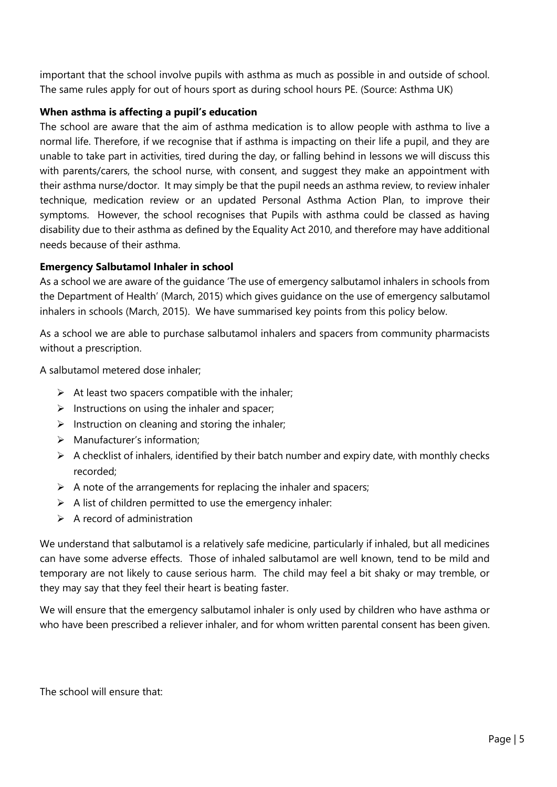important that the school involve pupils with asthma as much as possible in and outside of school. The same rules apply for out of hours sport as during school hours PE. (Source: Asthma UK)

## **When asthma is affecting a pupil's education**

The school are aware that the aim of asthma medication is to allow people with asthma to live a normal life. Therefore, if we recognise that if asthma is impacting on their life a pupil, and they are unable to take part in activities, tired during the day, or falling behind in lessons we will discuss this with parents/carers, the school nurse, with consent, and suggest they make an appointment with their asthma nurse/doctor. It may simply be that the pupil needs an asthma review, to review inhaler technique, medication review or an updated Personal Asthma Action Plan, to improve their symptoms. However, the school recognises that Pupils with asthma could be classed as having disability due to their asthma as defined by the Equality Act 2010, and therefore may have additional needs because of their asthma.

# **Emergency Salbutamol Inhaler in school**

As a school we are aware of the guidance 'The use of emergency salbutamol inhalers in schools from the Department of Health' (March, 2015) which gives guidance on the use of emergency salbutamol inhalers in schools (March, 2015). We have summarised key points from this policy below.

As a school we are able to purchase salbutamol inhalers and spacers from community pharmacists without a prescription.

A salbutamol metered dose inhaler;

- $\triangleright$  At least two spacers compatible with the inhaler;
- $\triangleright$  Instructions on using the inhaler and spacer;
- $\triangleright$  Instruction on cleaning and storing the inhaler;
- ➢ Manufacturer's information;
- ➢ A checklist of inhalers, identified by their batch number and expiry date, with monthly checks recorded;
- $\triangleright$  A note of the arrangements for replacing the inhaler and spacers;
- $\triangleright$  A list of children permitted to use the emergency inhaler:
- $\triangleright$  A record of administration

We understand that salbutamol is a relatively safe medicine, particularly if inhaled, but all medicines can have some adverse effects. Those of inhaled salbutamol are well known, tend to be mild and temporary are not likely to cause serious harm. The child may feel a bit shaky or may tremble, or they may say that they feel their heart is beating faster.

We will ensure that the emergency salbutamol inhaler is only used by children who have asthma or who have been prescribed a reliever inhaler, and for whom written parental consent has been given.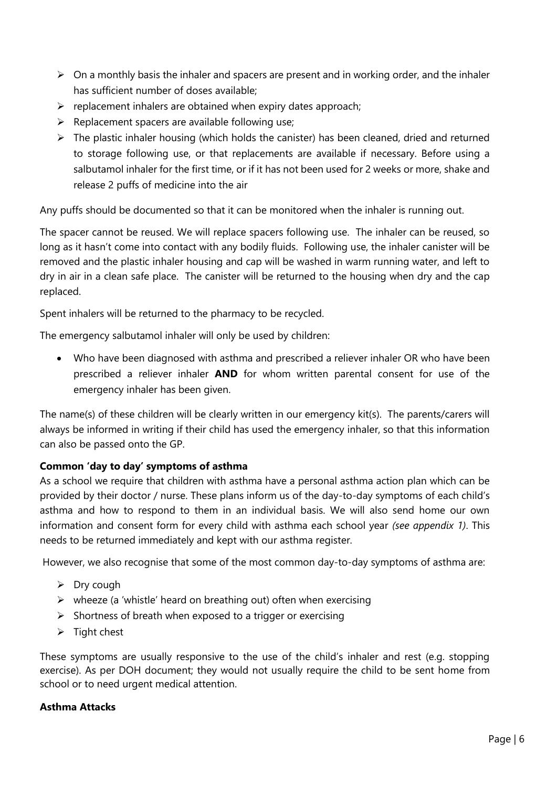- $\triangleright$  On a monthly basis the inhaler and spacers are present and in working order, and the inhaler has sufficient number of doses available;
- $\triangleright$  replacement inhalers are obtained when expiry dates approach;
- $\triangleright$  Replacement spacers are available following use;
- $\triangleright$  The plastic inhaler housing (which holds the canister) has been cleaned, dried and returned to storage following use, or that replacements are available if necessary. Before using a salbutamol inhaler for the first time, or if it has not been used for 2 weeks or more, shake and release 2 puffs of medicine into the air

Any puffs should be documented so that it can be monitored when the inhaler is running out.

The spacer cannot be reused. We will replace spacers following use. The inhaler can be reused, so long as it hasn't come into contact with any bodily fluids. Following use, the inhaler canister will be removed and the plastic inhaler housing and cap will be washed in warm running water, and left to dry in air in a clean safe place. The canister will be returned to the housing when dry and the cap replaced.

Spent inhalers will be returned to the pharmacy to be recycled.

The emergency salbutamol inhaler will only be used by children:

• Who have been diagnosed with asthma and prescribed a reliever inhaler OR who have been prescribed a reliever inhaler **AND** for whom written parental consent for use of the emergency inhaler has been given.

The name(s) of these children will be clearly written in our emergency kit(s). The parents/carers will always be informed in writing if their child has used the emergency inhaler, so that this information can also be passed onto the GP.

### **Common 'day to day' symptoms of asthma**

As a school we require that children with asthma have a personal asthma action plan which can be provided by their doctor / nurse. These plans inform us of the day-to-day symptoms of each child's asthma and how to respond to them in an individual basis. We will also send home our own information and consent form for every child with asthma each school year *(see appendix 1)*. This needs to be returned immediately and kept with our asthma register.

However, we also recognise that some of the most common day-to-day symptoms of asthma are:

- $\triangleright$  Dry cough
- $\triangleright$  wheeze (a 'whistle' heard on breathing out) often when exercising
- $\triangleright$  Shortness of breath when exposed to a trigger or exercising
- $\triangleright$  Tight chest

These symptoms are usually responsive to the use of the child's inhaler and rest (e.g. stopping exercise). As per DOH document; they would not usually require the child to be sent home from school or to need urgent medical attention.

#### **Asthma Attacks**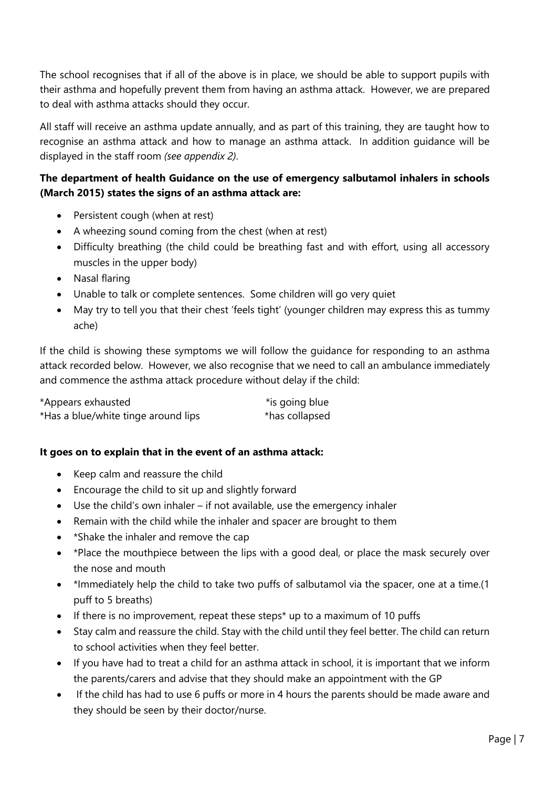The school recognises that if all of the above is in place, we should be able to support pupils with their asthma and hopefully prevent them from having an asthma attack. However, we are prepared to deal with asthma attacks should they occur.

All staff will receive an asthma update annually, and as part of this training, they are taught how to recognise an asthma attack and how to manage an asthma attack. In addition guidance will be displayed in the staff room *(see appendix 2)*.

# **The department of health Guidance on the use of emergency salbutamol inhalers in schools (March 2015) states the signs of an asthma attack are:**

- Persistent cough (when at rest)
- A wheezing sound coming from the chest (when at rest)
- Difficulty breathing (the child could be breathing fast and with effort, using all accessory muscles in the upper body)
- Nasal flaring
- Unable to talk or complete sentences. Some children will go very quiet
- May try to tell you that their chest 'feels tight' (younger children may express this as tummy ache)

If the child is showing these symptoms we will follow the guidance for responding to an asthma attack recorded below. However, we also recognise that we need to call an ambulance immediately and commence the asthma attack procedure without delay if the child:

| *Appears exhausted                  | *is going blue |
|-------------------------------------|----------------|
| *Has a blue/white tinge around lips | *has collapsed |

### **It goes on to explain that in the event of an asthma attack:**

- Keep calm and reassure the child
- Encourage the child to sit up and slightly forward
- Use the child's own inhaler if not available, use the emergency inhaler
- Remain with the child while the inhaler and spacer are brought to them
- \*Shake the inhaler and remove the cap
- \*Place the mouthpiece between the lips with a good deal, or place the mask securely over the nose and mouth
- \*Immediately help the child to take two puffs of salbutamol via the spacer, one at a time.(1 puff to 5 breaths)
- If there is no improvement, repeat these steps\* up to a maximum of 10 puffs
- Stay calm and reassure the child. Stay with the child until they feel better. The child can return to school activities when they feel better.
- If you have had to treat a child for an asthma attack in school, it is important that we inform the parents/carers and advise that they should make an appointment with the GP
- If the child has had to use 6 puffs or more in 4 hours the parents should be made aware and they should be seen by their doctor/nurse.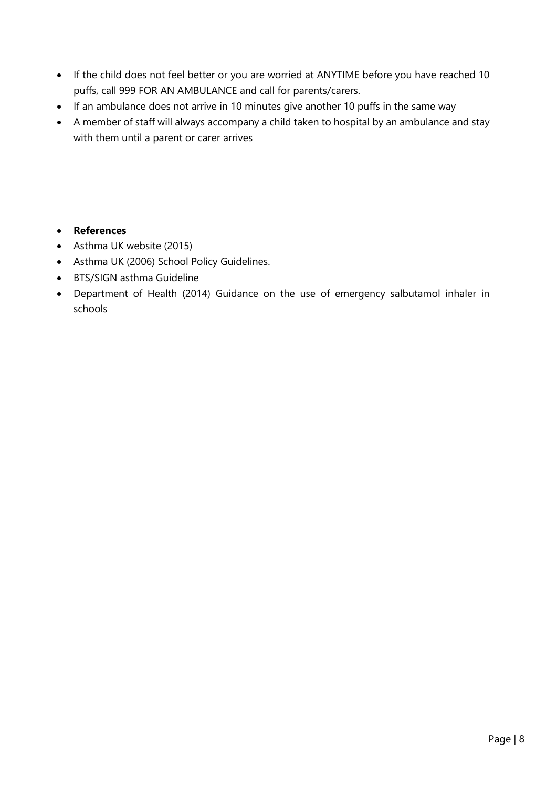- If the child does not feel better or you are worried at ANYTIME before you have reached 10 puffs, call 999 FOR AN AMBULANCE and call for parents/carers.
- If an ambulance does not arrive in 10 minutes give another 10 puffs in the same way
- A member of staff will always accompany a child taken to hospital by an ambulance and stay with them until a parent or carer arrives

# • **References**

- Asthma UK website (2015)
- Asthma UK (2006) School Policy Guidelines.
- BTS/SIGN asthma Guideline
- Department of Health (2014) Guidance on the use of emergency salbutamol inhaler in schools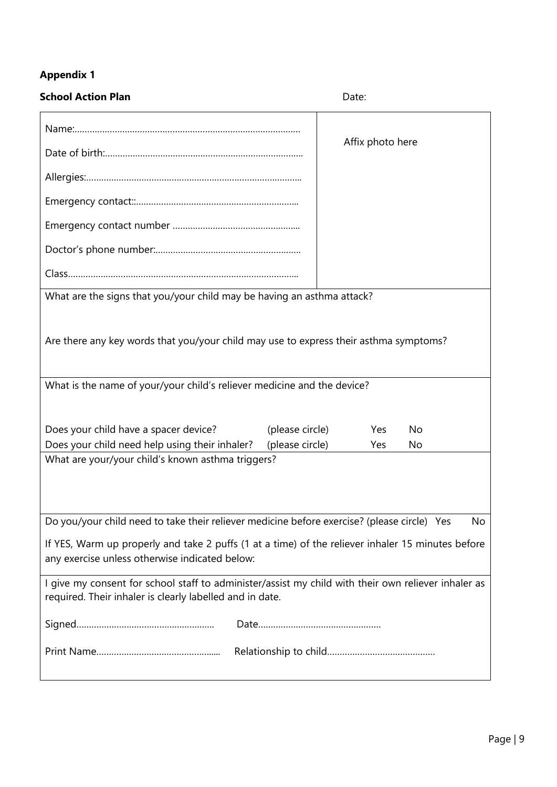# **Appendix 1**

| <b>School Action Plan</b>                                                                                                                                       | Date:            |  |  |  |  |
|-----------------------------------------------------------------------------------------------------------------------------------------------------------------|------------------|--|--|--|--|
|                                                                                                                                                                 | Affix photo here |  |  |  |  |
|                                                                                                                                                                 |                  |  |  |  |  |
|                                                                                                                                                                 |                  |  |  |  |  |
|                                                                                                                                                                 |                  |  |  |  |  |
|                                                                                                                                                                 |                  |  |  |  |  |
|                                                                                                                                                                 |                  |  |  |  |  |
|                                                                                                                                                                 |                  |  |  |  |  |
| What are the signs that you/your child may be having an asthma attack?                                                                                          |                  |  |  |  |  |
| Are there any key words that you/your child may use to express their asthma symptoms?                                                                           |                  |  |  |  |  |
| What is the name of your/your child's reliever medicine and the device?                                                                                         |                  |  |  |  |  |
| Does your child have a spacer device?<br>(please circle)                                                                                                        | Yes<br>No        |  |  |  |  |
| Does your child need help using their inhaler?<br>(please circle)<br>What are your/your child's known asthma triggers?                                          | Yes<br>No        |  |  |  |  |
|                                                                                                                                                                 |                  |  |  |  |  |
| Do you/your child need to take their reliever medicine before exercise? (please circle) Yes                                                                     | No               |  |  |  |  |
| If YES, Warm up properly and take 2 puffs (1 at a time) of the reliever inhaler 15 minutes before<br>any exercise unless otherwise indicated below:             |                  |  |  |  |  |
| I give my consent for school staff to administer/assist my child with their own reliever inhaler as<br>required. Their inhaler is clearly labelled and in date. |                  |  |  |  |  |
|                                                                                                                                                                 |                  |  |  |  |  |
|                                                                                                                                                                 |                  |  |  |  |  |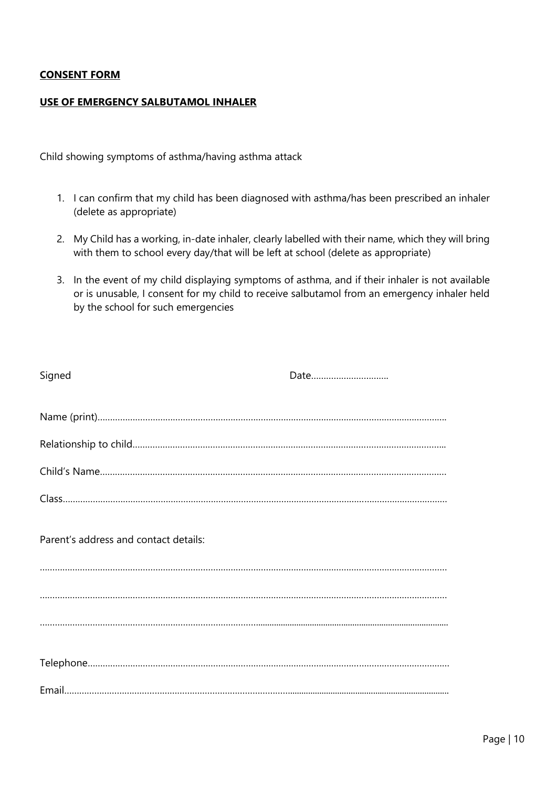#### **CONSENT FORM**

#### **USE OF EMERGENCY SALBUTAMOL INHALER**

Child showing symptoms of asthma/having asthma attack

- 1. I can confirm that my child has been diagnosed with asthma/has been prescribed an inhaler (delete as appropriate)
- 2. My Child has a working, in-date inhaler, clearly labelled with their name, which they will bring with them to school every day/that will be left at school (delete as appropriate)
- 3. In the event of my child displaying symptoms of asthma, and if their inhaler is not available or is unusable, I consent for my child to receive salbutamol from an emergency inhaler held by the school for such emergencies

| Signed                                | Date |
|---------------------------------------|------|
|                                       |      |
|                                       |      |
|                                       |      |
|                                       |      |
| Parent's address and contact details: |      |
|                                       |      |
|                                       |      |
|                                       |      |
|                                       |      |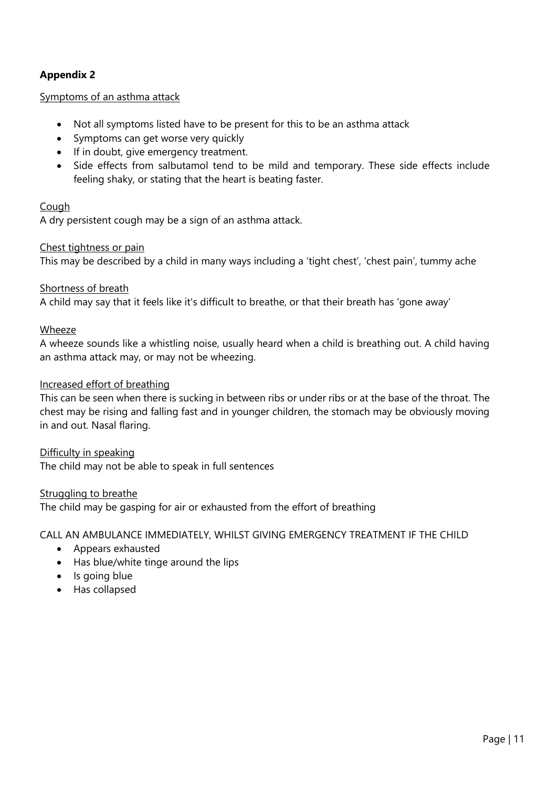# **Appendix 2**

#### Symptoms of an asthma attack

- Not all symptoms listed have to be present for this to be an asthma attack
- Symptoms can get worse very quickly
- If in doubt, give emergency treatment.
- Side effects from salbutamol tend to be mild and temporary. These side effects include feeling shaky, or stating that the heart is beating faster.

#### Cough

A dry persistent cough may be a sign of an asthma attack.

#### Chest tightness or pain

This may be described by a child in many ways including a 'tight chest', 'chest pain', tummy ache

#### Shortness of breath

A child may say that it feels like it's difficult to breathe, or that their breath has 'gone away'

#### Wheeze

A wheeze sounds like a whistling noise, usually heard when a child is breathing out. A child having an asthma attack may, or may not be wheezing.

#### Increased effort of breathing

This can be seen when there is sucking in between ribs or under ribs or at the base of the throat. The chest may be rising and falling fast and in younger children, the stomach may be obviously moving in and out. Nasal flaring.

#### Difficulty in speaking

The child may not be able to speak in full sentences

#### Struggling to breathe

The child may be gasping for air or exhausted from the effort of breathing

CALL AN AMBULANCE IMMEDIATELY, WHILST GIVING EMERGENCY TREATMENT IF THE CHILD

- Appears exhausted
- Has blue/white tinge around the lips
- Is going blue
- Has collapsed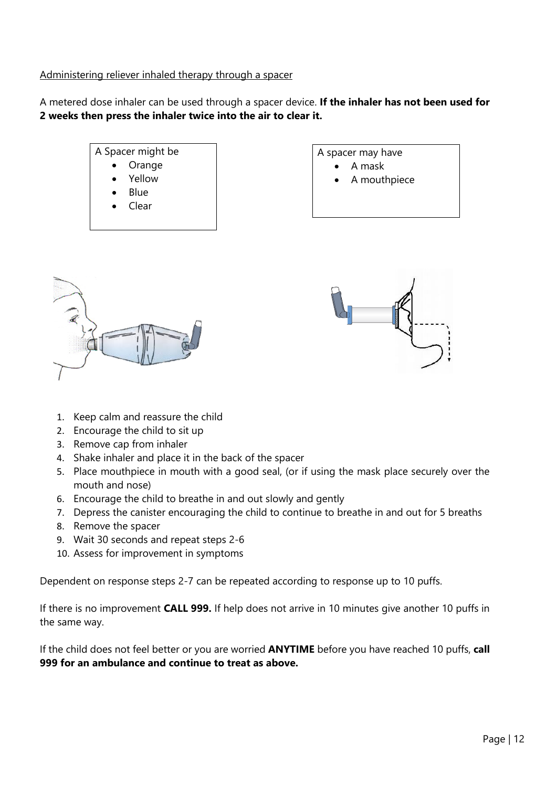#### Administering reliever inhaled therapy through a spacer

A metered dose inhaler can be used through a spacer device. **If the inhaler has not been used for 2 weeks then press the inhaler twice into the air to clear it.**



A spacer may have

- A mask
- A mouthpiece





- 1. Keep calm and reassure the child
- 2. Encourage the child to sit up
- 3. Remove cap from inhaler
- 4. Shake inhaler and place it in the back of the spacer
- 5. Place mouthpiece in mouth with a good seal, (or if using the mask place securely over the mouth and nose)
- 6. Encourage the child to breathe in and out slowly and gently
- 7. Depress the canister encouraging the child to continue to breathe in and out for 5 breaths
- 8. Remove the spacer
- 9. Wait 30 seconds and repeat steps 2-6
- 10. Assess for improvement in symptoms

Dependent on response steps 2-7 can be repeated according to response up to 10 puffs.

If there is no improvement **CALL 999.** If help does not arrive in 10 minutes give another 10 puffs in the same way.

If the child does not feel better or you are worried **ANYTIME** before you have reached 10 puffs, **call 999 for an ambulance and continue to treat as above.**